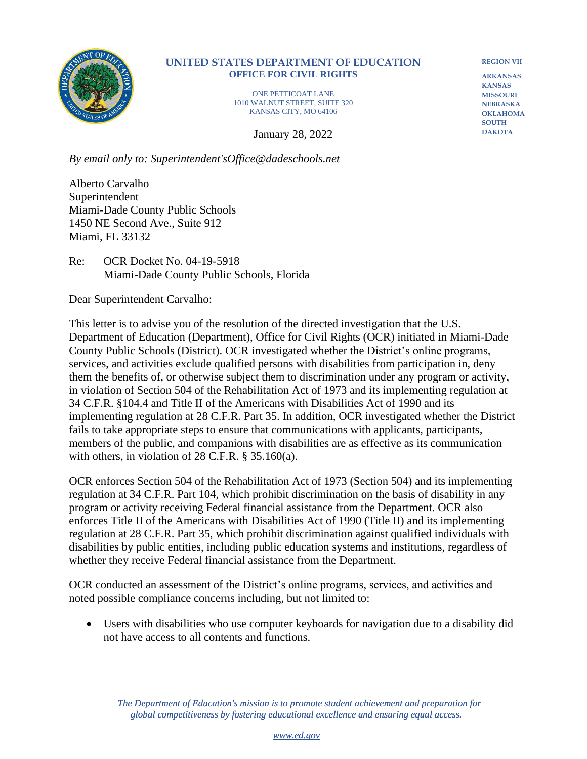

## **UNITED STATES DEPARTMENT OF EDUCATION OFFICE FOR CIVIL RIGHTS**

ONE PETTICOAT LANE 1010 WALNUT STREET, SUITE 320 KANSAS CITY, MO 64106

January 28, 2022

**REGION VII ARKANSAS**

**KANSAS MISSOURI NEBRASKA OKLAHOMA SOUTH DAKOTA**

*By email only to: Superintendent'sOffice@dadeschools.net*

Alberto Carvalho Superintendent Miami-Dade County Public Schools 1450 NE Second Ave., Suite 912 Miami, FL 33132

Re: OCR Docket No. 04-19-5918 Miami-Dade County Public Schools, Florida

Dear Superintendent Carvalho:

This letter is to advise you of the resolution of the directed investigation that the U.S. Department of Education (Department), Office for Civil Rights (OCR) initiated in Miami-Dade County Public Schools (District). OCR investigated whether the District's online programs, services, and activities exclude qualified persons with disabilities from participation in, deny them the benefits of, or otherwise subject them to discrimination under any program or activity, in violation of Section 504 of the Rehabilitation Act of 1973 and its implementing regulation at 34 C.F.R. §104.4 and Title II of the Americans with Disabilities Act of 1990 and its implementing regulation at 28 C.F.R. Part 35. In addition, OCR investigated whether the District fails to take appropriate steps to ensure that communications with applicants, participants, members of the public, and companions with disabilities are as effective as its communication with others, in violation of 28 C.F.R. § 35.160(a).

OCR enforces Section 504 of the Rehabilitation Act of 1973 (Section 504) and its implementing regulation at 34 C.F.R. Part 104, which prohibit discrimination on the basis of disability in any program or activity receiving Federal financial assistance from the Department. OCR also enforces Title II of the Americans with Disabilities Act of 1990 (Title II) and its implementing regulation at 28 C.F.R. Part 35, which prohibit discrimination against qualified individuals with disabilities by public entities, including public education systems and institutions, regardless of whether they receive Federal financial assistance from the Department.

OCR conducted an assessment of the District's online programs, services, and activities and noted possible compliance concerns including, but not limited to:

• Users with disabilities who use computer keyboards for navigation due to a disability did not have access to all contents and functions.

 *The Department of Education's mission is to promote student achievement and preparation for global competitiveness by fostering educational excellence and ensuring equal access.*